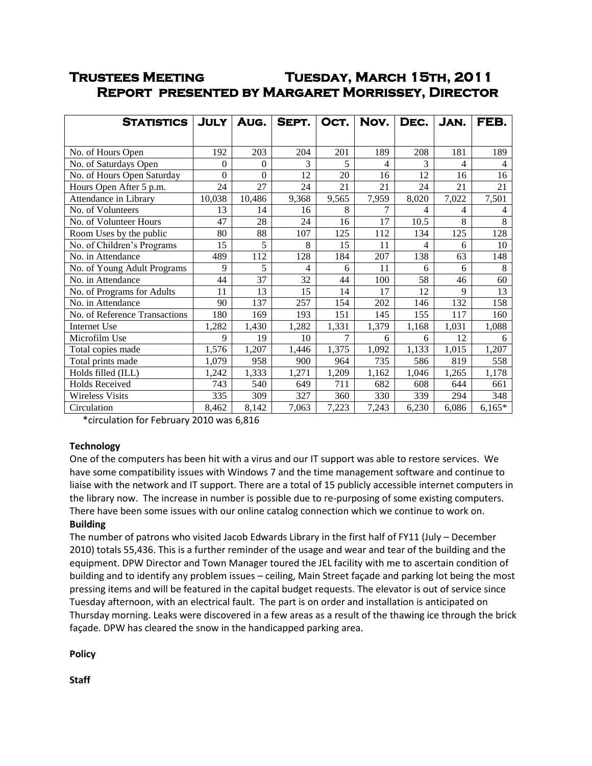# **Trustees Meeting Tuesday, March 15th, 2011 Report presented by Margaret Morrissey, Director**

| <b>STATISTICS</b>             | <b>JULY</b> | AUG.           | SEPT. | OCT.  | Nov.           | DEC.  | JAN.  | FEB.     |
|-------------------------------|-------------|----------------|-------|-------|----------------|-------|-------|----------|
|                               |             |                |       |       |                |       |       |          |
| No. of Hours Open             | 192         | 203            | 204   | 201   | 189            | 208   | 181   | 189      |
| No. of Saturdays Open         | $\theta$    | $\overline{0}$ | 3     | 5     | $\overline{4}$ | 3     | 4     | 4        |
| No. of Hours Open Saturday    | $\Omega$    | $\Omega$       | 12    | 20    | 16             | 12    | 16    | 16       |
| Hours Open After 5 p.m.       | 24          | 27             | 24    | 21    | 21             | 24    | 21    | 21       |
| Attendance in Library         | 10,038      | 10,486         | 9,368 | 9,565 | 7,959          | 8,020 | 7,022 | 7,501    |
| No. of Volunteers             | 13          | 14             | 16    | 8     | 7              | 4     | 4     | 4        |
| No. of Volunteer Hours        | 47          | 28             | 24    | 16    | 17             | 10.5  | 8     | 8        |
| Room Uses by the public       | 80          | 88             | 107   | 125   | 112            | 134   | 125   | 128      |
| No. of Children's Programs    | 15          | 5              | 8     | 15    | 11             | 4     | 6     | 10       |
| No. in Attendance             | 489         | 112            | 128   | 184   | 207            | 138   | 63    | 148      |
| No. of Young Adult Programs   | 9           | 5              | 4     | 6     | 11             | 6     | 6     | 8        |
| No. in Attendance             | 44          | 37             | 32    | 44    | 100            | 58    | 46    | 60       |
| No. of Programs for Adults    | 11          | 13             | 15    | 14    | 17             | 12    | 9     | 13       |
| No. in Attendance             | 90          | 137            | 257   | 154   | 202            | 146   | 132   | 158      |
| No. of Reference Transactions | 180         | 169            | 193   | 151   | 145            | 155   | 117   | 160      |
| Internet Use                  | 1,282       | 1,430          | 1,282 | 1,331 | 1,379          | 1,168 | 1,031 | 1,088    |
| Microfilm Use                 | 9           | 19             | 10    | 7     | 6              | 6     | 12    | 6        |
| Total copies made             | 1,576       | 1,207          | 1,446 | 1,375 | 1,092          | 1,133 | 1,015 | 1,207    |
| Total prints made             | 1,079       | 958            | 900   | 964   | 735            | 586   | 819   | 558      |
| Holds filled (ILL)            | 1,242       | 1,333          | 1,271 | 1,209 | 1,162          | 1,046 | 1,265 | 1,178    |
| <b>Holds Received</b>         | 743         | 540            | 649   | 711   | 682            | 608   | 644   | 661      |
| <b>Wireless Visits</b>        | 335         | 309            | 327   | 360   | 330            | 339   | 294   | 348      |
| Circulation                   | 8,462       | 8,142          | 7,063 | 7,223 | 7,243          | 6,230 | 6,086 | $6,165*$ |

\*circulation for February 2010 was 6,816

## **Technology**

One of the computers has been hit with a virus and our IT support was able to restore services. We have some compatibility issues with Windows 7 and the time management software and continue to liaise with the network and IT support. There are a total of 15 publicly accessible internet computers in the library now. The increase in number is possible due to re-purposing of some existing computers. There have been some issues with our online catalog connection which we continue to work on. **Building**

The number of patrons who visited Jacob Edwards Library in the first half of FY11 (July – December 2010) totals 55,436. This is a further reminder of the usage and wear and tear of the building and the equipment. DPW Director and Town Manager toured the JEL facility with me to ascertain condition of building and to identify any problem issues – ceiling, Main Street façade and parking lot being the most pressing items and will be featured in the capital budget requests. The elevator is out of service since Tuesday afternoon, with an electrical fault. The part is on order and installation is anticipated on Thursday morning. Leaks were discovered in a few areas as a result of the thawing ice through the brick façade. DPW has cleared the snow in the handicapped parking area.

**Policy**

**Staff**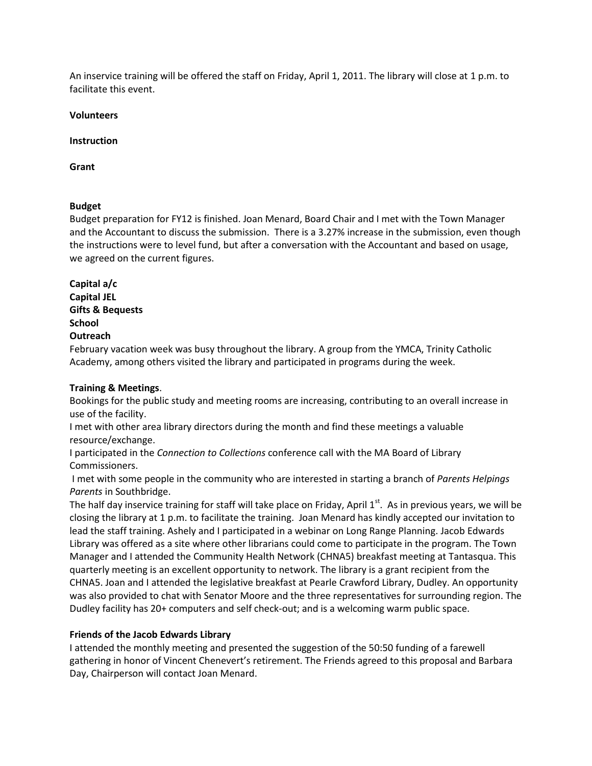An inservice training will be offered the staff on Friday, April 1, 2011. The library will close at 1 p.m. to facilitate this event.

#### **Volunteers**

#### **Instruction**

**Grant**

#### **Budget**

Budget preparation for FY12 is finished. Joan Menard, Board Chair and I met with the Town Manager and the Accountant to discuss the submission. There is a 3.27% increase in the submission, even though the instructions were to level fund, but after a conversation with the Accountant and based on usage, we agreed on the current figures.

**Capital a/c Capital JEL Gifts & Bequests School Outreach**

February vacation week was busy throughout the library. A group from the YMCA, Trinity Catholic Academy, among others visited the library and participated in programs during the week.

#### **Training & Meetings**.

Bookings for the public study and meeting rooms are increasing, contributing to an overall increase in use of the facility.

I met with other area library directors during the month and find these meetings a valuable resource/exchange.

I participated in the *Connection to Collections* conference call with the MA Board of Library Commissioners.

I met with some people in the community who are interested in starting a branch of *Parents Helpings Parents* in Southbridge.

The half day inservice training for staff will take place on Friday, April 1<sup>st</sup>. As in previous years, we will be closing the library at 1 p.m. to facilitate the training. Joan Menard has kindly accepted our invitation to lead the staff training. Ashely and I participated in a webinar on Long Range Planning. Jacob Edwards Library was offered as a site where other librarians could come to participate in the program. The Town Manager and I attended the Community Health Network (CHNA5) breakfast meeting at Tantasqua. This quarterly meeting is an excellent opportunity to network. The library is a grant recipient from the CHNA5. Joan and I attended the legislative breakfast at Pearle Crawford Library, Dudley. An opportunity was also provided to chat with Senator Moore and the three representatives for surrounding region. The Dudley facility has 20+ computers and self check-out; and is a welcoming warm public space.

## **Friends of the Jacob Edwards Library**

I attended the monthly meeting and presented the suggestion of the 50:50 funding of a farewell gathering in honor of Vincent Chenevert's retirement. The Friends agreed to this proposal and Barbara Day, Chairperson will contact Joan Menard.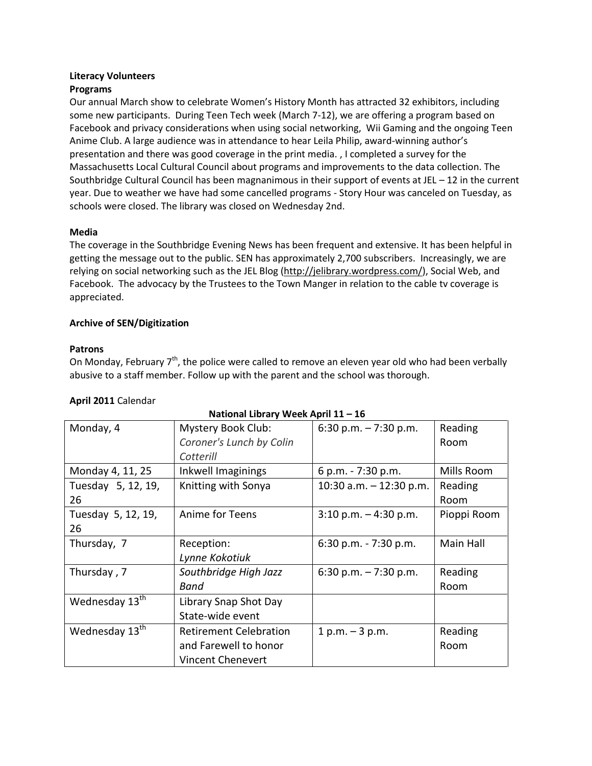## **Literacy Volunteers**

## **Programs**

Our annual March show to celebrate Women's History Month has attracted 32 exhibitors, including some new participants. During Teen Tech week (March 7-12), we are offering a program based on Facebook and privacy considerations when using social networking, Wii Gaming and the ongoing Teen Anime Club. A large audience was in attendance to hear Leila Philip, award-winning author's presentation and there was good coverage in the print media. , I completed a survey for the Massachusetts Local Cultural Council about programs and improvements to the data collection. The Southbridge Cultural Council has been magnanimous in their support of events at JEL – 12 in the current year. Due to weather we have had some cancelled programs - Story Hour was canceled on Tuesday, as schools were closed. The library was closed on Wednesday 2nd.

## **Media**

The coverage in the Southbridge Evening News has been frequent and extensive. It has been helpful in getting the message out to the public. SEN has approximately 2,700 subscribers. Increasingly, we are relying on social networking such as the JEL Blog [\(http://jelibrary.wordpress.com/\)](http://jelibrary.wordpress.com/), Social Web, and Facebook. The advocacy by the Trustees to the Town Manger in relation to the cable tv coverage is appreciated.

## **Archive of SEN/Digitization**

## **Patrons**

On Monday, February  $7<sup>th</sup>$ , the police were called to remove an eleven year old who had been verbally abusive to a staff member. Follow up with the parent and the school was thorough.

**National Library Week April 11 – 16**

| Monday, 4                  | Mystery Book Club:            | 6:30 p.m. $-7:30$ p.m.    | Reading     |
|----------------------------|-------------------------------|---------------------------|-------------|
|                            | Coroner's Lunch by Colin      |                           | Room        |
|                            | Cotterill                     |                           |             |
| Monday 4, 11, 25           | Inkwell Imaginings            | 6 p.m. - 7:30 p.m.        | Mills Room  |
| Tuesday 5, 12, 19,         | Knitting with Sonya           | 10:30 a.m. $-$ 12:30 p.m. | Reading     |
| 26                         |                               |                           | Room        |
| Tuesday 5, 12, 19,         | Anime for Teens               | $3:10$ p.m. $-4:30$ p.m.  | Pioppi Room |
| 26                         |                               |                           |             |
| Thursday, 7                | Reception:                    | 6:30 p.m. $-7:30$ p.m.    | Main Hall   |
|                            | Lynne Kokotiuk                |                           |             |
| Thursday, 7                | Southbridge High Jazz         | 6:30 p.m. $-7:30$ p.m.    | Reading     |
|                            | Band                          |                           | Room        |
| Wednesday 13 <sup>th</sup> | Library Snap Shot Day         |                           |             |
|                            | State-wide event              |                           |             |
| Wednesday 13 <sup>th</sup> | <b>Retirement Celebration</b> | $1 p.m. - 3 p.m.$         | Reading     |
|                            | and Farewell to honor         |                           | Room        |
|                            | Vincent Chenevert             |                           |             |

## **April 2011** Calendar